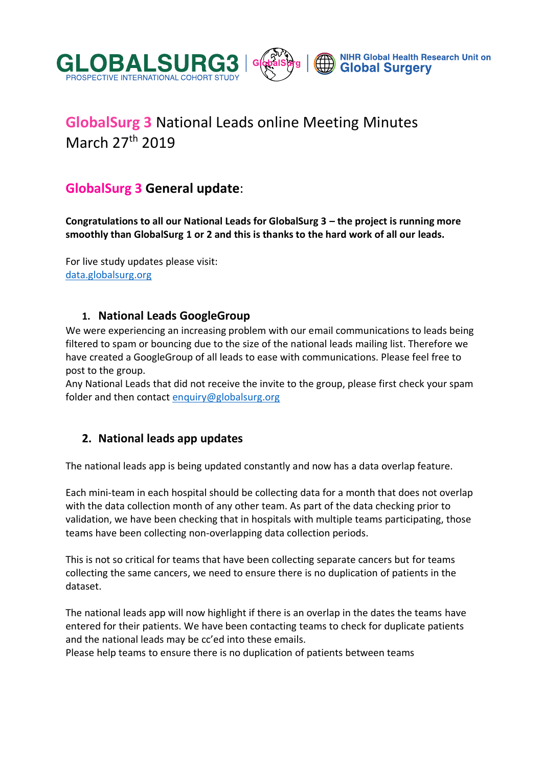



# **GlobalSurg 3** National Leads online Meeting Minutes March 27th 2019

# **GlobalSurg 3 General update**:

**Congratulations to all our National Leads for GlobalSurg 3 – the project is running more smoothly than GlobalSurg 1 or 2 and this is thanks to the hard work of all our leads.**

For live study updates please visit: [data.globalsurg.org](http://data.globalsurg.org/numbers/)

### **1. National Leads GoogleGroup**

We were experiencing an increasing problem with our email communications to leads being filtered to spam or bouncing due to the size of the national leads mailing list. Therefore we have created a GoogleGroup of all leads to ease with communications. Please feel free to post to the group.

Any National Leads that did not receive the invite to the group, please first check your spam folder and then contact [enquiry@globalsurg.org](mailto:enquiry@globalsurg.org)

### **2. National leads app updates**

The national leads app is being updated constantly and now has a data overlap feature.

Each mini-team in each hospital should be collecting data for a month that does not overlap with the data collection month of any other team. As part of the data checking prior to validation, we have been checking that in hospitals with multiple teams participating, those teams have been collecting non-overlapping data collection periods.

This is not so critical for teams that have been collecting separate cancers but for teams collecting the same cancers, we need to ensure there is no duplication of patients in the dataset.

The national leads app will now highlight if there is an overlap in the dates the teams have entered for their patients. We have been contacting teams to check for duplicate patients and the national leads may be cc'ed into these emails.

Please help teams to ensure there is no duplication of patients between teams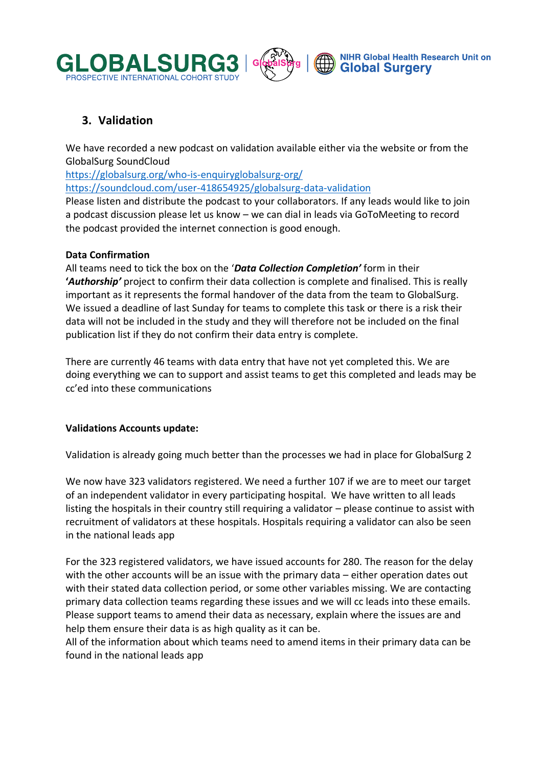



### **3. Validation**

We have recorded a new podcast on validation available either via the website or from the GlobalSurg SoundCloud

<https://globalsurg.org/who-is-enquiryglobalsurg-org/>

<https://soundcloud.com/user-418654925/globalsurg-data-validation>

Please listen and distribute the podcast to your collaborators. If any leads would like to join a podcast discussion please let us know – we can dial in leads via GoToMeeting to record the podcast provided the internet connection is good enough.

#### **Data Confirmation**

All teams need to tick the box on the '*Data Collection Completion'* form in their **'***Authorship'* project to confirm their data collection is complete and finalised. This is really important as it represents the formal handover of the data from the team to GlobalSurg. We issued a deadline of last Sunday for teams to complete this task or there is a risk their data will not be included in the study and they will therefore not be included on the final publication list if they do not confirm their data entry is complete.

There are currently 46 teams with data entry that have not yet completed this. We are doing everything we can to support and assist teams to get this completed and leads may be cc'ed into these communications

#### **Validations Accounts update:**

Validation is already going much better than the processes we had in place for GlobalSurg 2

We now have 323 validators registered. We need a further 107 if we are to meet our target of an independent validator in every participating hospital. We have written to all leads listing the hospitals in their country still requiring a validator – please continue to assist with recruitment of validators at these hospitals. Hospitals requiring a validator can also be seen in the national leads app

For the 323 registered validators, we have issued accounts for 280. The reason for the delay with the other accounts will be an issue with the primary data – either operation dates out with their stated data collection period, or some other variables missing. We are contacting primary data collection teams regarding these issues and we will cc leads into these emails. Please support teams to amend their data as necessary, explain where the issues are and help them ensure their data is as high quality as it can be.

All of the information about which teams need to amend items in their primary data can be found in the national leads app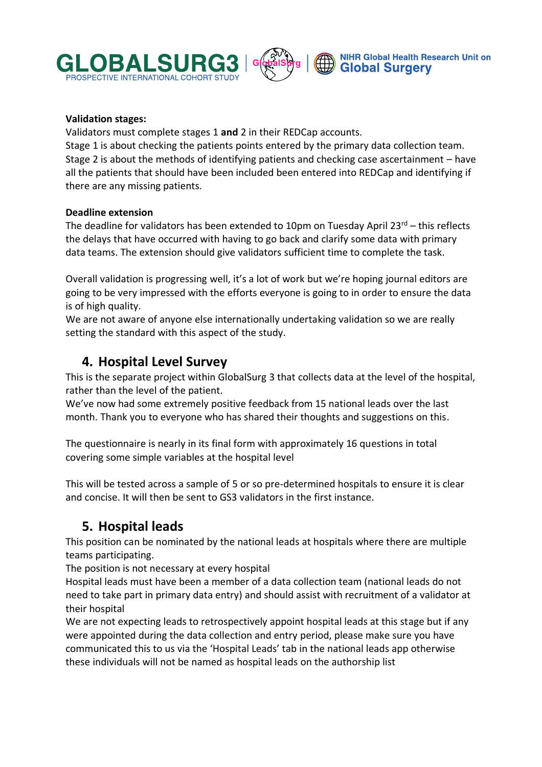



#### **Validation stages:**

Validators must complete stages 1 **and** 2 in their REDCap accounts. Stage 1 is about checking the patients points entered by the primary data collection team. Stage 2 is about the methods of identifying patients and checking case ascertainment – have all the patients that should have been included been entered into REDCap and identifying if there are any missing patients.

#### **Deadline extension**

The deadline for validators has been extended to 10pm on Tuesday April  $23^{rd}$  – this reflects the delays that have occurred with having to go back and clarify some data with primary data teams. The extension should give validators sufficient time to complete the task.

Overall validation is progressing well, it's a lot of work but we're hoping journal editors are going to be very impressed with the efforts everyone is going to in order to ensure the data is of high quality.

We are not aware of anyone else internationally undertaking validation so we are really setting the standard with this aspect of the study.

### **4. Hospital Level Survey**

This is the separate project within GlobalSurg 3 that collects data at the level of the hospital, rather than the level of the patient.

We've now had some extremely positive feedback from 15 national leads over the last month. Thank you to everyone who has shared their thoughts and suggestions on this.

The questionnaire is nearly in its final form with approximately 16 questions in total covering some simple variables at the hospital level

This will be tested across a sample of 5 or so pre-determined hospitals to ensure it is clear and concise. It will then be sent to GS3 validators in the first instance.

# **5. Hospital leads**

This position can be nominated by the national leads at hospitals where there are multiple teams participating.

The position is not necessary at every hospital

Hospital leads must have been a member of a data collection team (national leads do not need to take part in primary data entry) and should assist with recruitment of a validator at their hospital

We are not expecting leads to retrospectively appoint hospital leads at this stage but if any were appointed during the data collection and entry period, please make sure you have communicated this to us via the 'Hospital Leads' tab in the national leads app otherwise these individuals will not be named as hospital leads on the authorship list